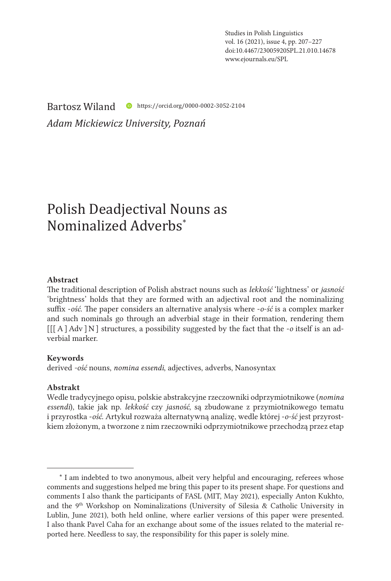Studies in Polish Linguistics vol. 16 (2021), issue 4, pp. 207–227 doi:10.4467/23005920SPL.21.010.14678 www.ejournals.eu/SPL

Bartosz Wiland https://orcid.org/0000-0002-3052-2104

*Adam Mickiewicz University, Poznań*

# Polish Deadjectival Nouns as Nominalized Adverbs<sup>\*</sup>

### Abstract

The traditional description of Polish abstract nouns such as *lekkość* 'lightness' or *jasność* 'brightness' holds that they are formed with an adjectival root and the nominalizing suffix -*ość*. The paper considers an alternative analysis where -*o-ść* is a complex marker and such nominals go through an adverbial stage in their formation, rendering them [[[A]Adv ]N] structures, a possibility suggested by the fact that the -*o* itself is an adverbial marker.

#### Keywords

derived *-ość* nouns, *nomina essendi*, adjectives, adverbs, Nanosyntax

### Abstrakt

Wedle tradycyjnego opisu, polskie abstrakcyjne rzeczowniki odprzymiotnikowe (*nomina essendi*), takie jak np. *lekkość* czy *jasność*, są zbudowane z przymiotnikowego tematu i przyrostka -*ość*. Artykuł rozważa alternatywną analizę, wedle której -*o-ść* jest przyrostkiem złożonym, a tworzone z nim rzeczowniki odprzymiotnikowe przechodzą przez etap

<sup>\*</sup> I am indebted to two anonymous, albeit very helpful and encouraging, referees whose comments and suggestions helped me bring this paper to its present shape. For questions and comments I also thank the participants of FASL (MIT, May 2021), especially Anton Kukhto, and the 9<sup>th</sup> Workshop on Nominalizations (University of Silesia & Catholic University in Lublin, June 2021), both held online, where earlier versions of this paper were presented. I also thank Pavel Caha for an exchange about some of the issues related to the material reported here. Needless to say, the responsibility for this paper is solely mine.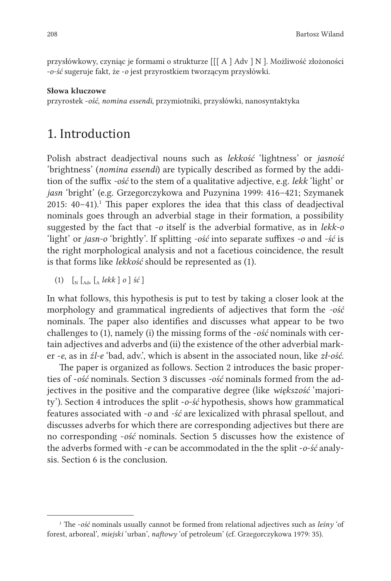przysłówkowy, czyniąc je formami o strukturze [[[ A ] Adv ] N ]. Możliwość złożoności -*o-ść* sugeruje fakt, że -*o* jest przyrostkiem tworzącym przysłówki.

#### Słowa kluczowe

przyrostek -*ość*, *nomina essendi*, przymiotniki, przysłówki, nanosyntaktyka

### 1. Introduction

Polish abstract deadjectival nouns such as *lekkość* 'lightness' or *jasność* 'brightness' (*nomina essendi*) are typically described as formed by the addition of the suffix *-ość* to the stem of a qualitative adjective, e.g. *lekk* 'light' or *jasn* 'bright' (e.g. Grzegorczykowa and Puzynina 1999: 416–421; Szymanek  $2015: 40-41$ .<sup>1</sup> This paper explores the idea that this class of deadjectival nominals goes through an adverbial stage in their formation, a possibility suggested by the fact that -*o* itself is the adverbial formative, as in *lekk-o* 'light' or *jasn-o* 'brightly'. If splitting *-ość* into separate suffixes *-o* and *-ść* is the right morphological analysis and not a facetious coincidence, the result is that forms like *lekkość* should be represented as (1).

(1) [N [Adv [A *lekk* ] *o* ] *ść* ]

In what follows, this hypothesis is put to test by taking a closer look at the morphology and grammatical ingredients of adjectives that form the *-ość* nominals. The paper also identifies and discusses what appear to be two challenges to (1), namely (i) the missing forms of the -*ość* nominals with certain adjectives and adverbs and (ii) the existence of the other adverbial marker -*e*, as in *źl-e* 'bad, adv.', which is absent in the associated noun, like *zł-ość*.

The paper is organized as follows. Section 2 introduces the basic properties of -*ość* nominals. Section 3 discusses *-ość* nominals formed from the adjectives in the positive and the comparative degree (like *większość* 'majority'). Section 4 introduces the split -*o-ść* hypothesis, shows how grammatical features associated with -*o* and *-ść* are lexicalized with phrasal spellout, and discusses adverbs for which there are corresponding adjectives but there are no corresponding -*ość* nominals. Section 5 discusses how the existence of the adverbs formed with -*e* can be accommodated in the the split -*o-ść* analysis. Section 6 is the conclusion.

<sup>1</sup> The -*ość* nominals usually cannot be formed from relational adjectives such as *leśny* 'of forest, arboreal', *miejski* 'urban', *naftowy* 'of petroleum' (cf. Grzegorczykowa 1979: 35).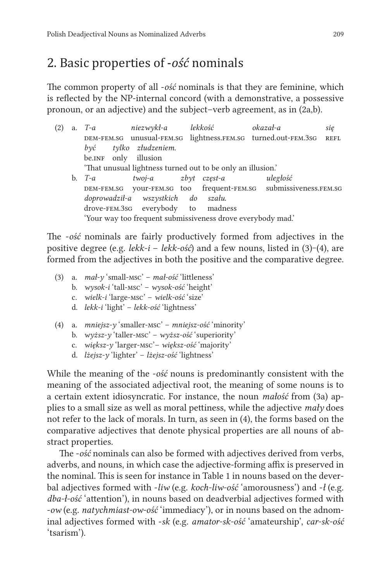## 2. Basic properties of -*ość* nominals

The common property of all -*ość* nominals is that they are feminine, which is reflected by the NP-internal concord (with a demonstrative, a possessive pronoun, or an adjective) and the subject–verb agreement, as in (2a,b).

| (2) | a. $T-a$             | niezwykł-a lekkość                                          |                           | okazał-a                                                         | sie         |
|-----|----------------------|-------------------------------------------------------------|---------------------------|------------------------------------------------------------------|-------------|
|     |                      |                                                             |                           | DEM-FEM.SG unusual-FEM.SG lightness.FEM.SG turned.out-FEM.3sG    | <b>REFL</b> |
|     | $b\nu\acute{c}$      | tylko złudzeniem.                                           |                           |                                                                  |             |
|     | be.INF only illusion |                                                             |                           |                                                                  |             |
|     |                      | 'That unusual lightness turned out to be only an illusion.' |                           |                                                                  |             |
|     | b. $T-a$             | twoj-a                                                      | $z$ <i>b</i> $vt$ czest-a | uległość                                                         |             |
|     |                      |                                                             |                           | DEM-FEM.SG your-FEM.SG too frequent-FEM.SG submissiveness.FEM.SG |             |
|     |                      | doprowadził-a wszystkich do szału.                          |                           |                                                                  |             |
|     |                      | drove-FEM.3sG everybody to madness                          |                           |                                                                  |             |
|     |                      | 'Your way too frequent submissiveness drove everybody mad.' |                           |                                                                  |             |

The -*ość* nominals are fairly productively formed from adjectives in the positive degree (e.g. *lekk-i* – *lekk-ość*) and a few nouns, listed in (3)‒(4), are formed from the adjectives in both the positive and the comparative degree.

- (3) a. *mał-y* 'small-msc' *mał-ość* 'littleness' b. *wysok-i* 'tall-msc' – *wysok-ość* 'height' c. *wielk-i* 'large-msc' – *wielk-ość* 'size' d. *lekk-i* 'light' – *lekk-ość* 'lightness'
- (4) a. *mniejsz-y* 'smaller-msc' *mniejsz-ość* 'minority'
	- b. *wyższ-y* 'taller-msc' *wyższ-ość* 'superiority'
	- c. *większ-y* 'larger-msc'– *większ-ość* 'majority'
	- d. *lżejsz-y* 'lighter' *lżejsz-ość* 'lightness'

While the meaning of the -*ość* nouns is predominantly consistent with the meaning of the associated adjectival root, the meaning of some nouns is to a certain extent idiosyncratic. For instance, the noun *małość* from (3a) applies to a small size as well as moral pettiness, while the adjective *mały* does not refer to the lack of morals. In turn, as seen in (4), the forms based on the comparative adjectives that denote physical properties are all nouns of abstract properties.

The -*ość* nominals can also be formed with adjectives derived from verbs, adverbs, and nouns, in which case the adjective-forming affix is preserved in the nominal. This is seen for instance in Table 1 in nouns based on the deverbal adjectives formed with -*liw* (e.g. *koch-liw-ość* 'amorousness') and -*ł* (e.g. *dba-ł-ość* 'attention'), in nouns based on deadverbial adjectives formed with -*ow* (e.g. *natychmiast-ow-ość* 'immediacy'), or in nouns based on the adnominal adjectives formed with -*sk* (e.g. *amator-sk-ość* 'amateurship', *car-sk-ość* 'tsarism').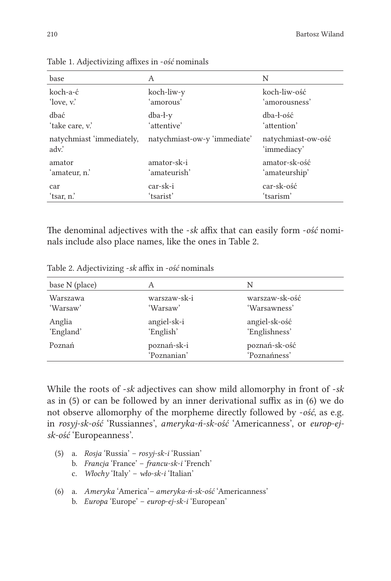| base                              | А                            | N                                 |
|-----------------------------------|------------------------------|-----------------------------------|
| koch-a-ć                          | koch-liw-y                   | koch-liw-ość                      |
| 'love, v.'                        | 'amorous'                    | 'amorousness'                     |
| dbać                              | $dba-1-y$                    | dba-ł-ość                         |
| 'take care, v.'                   | 'attentive'                  | 'attention'                       |
| natychmiast 'immediately,<br>adv. | natychmiast-ow-y 'immediate' | natychmiast-ow-ość<br>'immediacy' |
| amator                            | amator-sk-i                  | amator-sk-ość                     |
| 'amateur, n.'                     | 'amateurish'                 | 'amateurship'                     |
| car                               | car-sk-i                     | car-sk-ość                        |
| ʻtsar, n.'                        | 'tsarist'                    | 'tsarism'                         |

Table 1. Adjectivizing affixes in -*ość* nominals

The denominal adjectives with the -*sk* affix that can easily form -*ość* nominals include also place names, like the ones in Table 2.

Table 2. Adjectivizing -*sk* affix in -*ość* nominals

| base N (place) | А                          | N                             |
|----------------|----------------------------|-------------------------------|
| Warszawa       | warszaw-sk-i               | warszaw-sk-ość                |
| 'Warsaw'       | 'Warsaw'                   | 'Warsawness'                  |
| Anglia         | angiel-sk-i                | angiel-sk-ość                 |
| 'England'      | 'English'                  | 'Englishness'                 |
| Poznań         | poznań-sk-i<br>'Poznanian' | poznań-sk-ość<br>'Poznańness' |

While the roots of -*sk* adjectives can show mild allomorphy in front of -*sk* as in (5) or can be followed by an inner derivational suffix as in (6) we do not observe allomorphy of the morpheme directly followed by -*ość*, as e.g. in *rosyj-sk-ość* 'Russiannes', *ameryka-ń-sk-ość* 'Americanness', or *europ-ejsk-ość* 'Europeanness'.

- (5) a. *Rosja* 'Russia' *rosyj-sk-i* 'Russian'
	- b. *Francja* 'France' *francu-sk-i* 'French'
	- c. *Włochy* 'Italy' *wło-sk-i* 'Italian'
- (6) a. *Ameryka* 'America' *ameryka-ń-sk-ość* 'Americanness'
	- b. *Europa* 'Europe' *europ-ej-sk-i* 'European'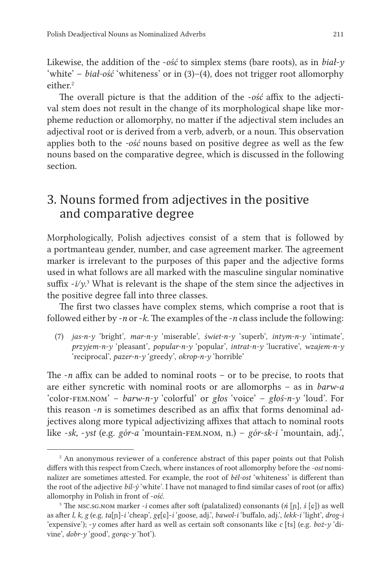Likewise, the addition of the -*ość* to simplex stems (bare roots), as in *biał-y* 'white' – *biał-ość* 'whiteness' or in (3)–(4), does not trigger root allomorphy  $e^{i t}$ her<sup>2</sup>

The overall picture is that the addition of the -*ość* affix to the adjectival stem does not result in the change of its morphological shape like morpheme reduction or allomorphy, no matter if the adjectival stem includes an adjectival root or is derived from a verb, adverb, or a noun. This observation applies both to the *-ość* nouns based on positive degree as well as the few nouns based on the comparative degree, which is discussed in the following section.

## 3. Nouns formed from adjectives in the positive and comparative degree

Morphologically, Polish adjectives consist of a stem that is followed by a portmanteau gender, number, and case agreement marker. The agreement marker is irrelevant to the purposes of this paper and the adjective forms used in what follows are all marked with the masculine singular nominative suffix  $-i/y$ <sup>3</sup>. What is relevant is the shape of the stem since the adjectives in the positive degree fall into three classes.

The first two classes have complex stems, which comprise a root that is followed either by -*n* or -*k*. The examples of the -*n* classinclude the following:

(7) *jas-n-y* 'bright', *mar-n-y* 'miserable', *świet-n-y* 'superb', *intym-n-y* 'intimate', *przyjem-n-y* 'pleasant'*, popular-n-y* 'popular', *intrat-n-y* 'lucrative', *wzajem-n-y* 'reciprocal', *pazer-n-y* 'greedy', *okrop-n-y* 'horrible'

The -*n* affix can be added to nominal roots – or to be precise, to roots that are either syncretic with nominal roots or are allomorphs – as in *barw-a* 'color-fem.nom' – *barw-n-y* 'colorful' or *głos* 'voice' – *głoś-n-y* 'loud'. For this reason -*n* is sometimes described as an affix that forms denominal adjectives along more typical adjectivizing affixes that attach to nominal roots like -*sk,* -*yst* (e.g. *gór-a* 'mountain-fem.nom, n.) – *gór-sk-i* 'mountain, adj.',

<sup>&</sup>lt;sup>2</sup> An anonymous reviewer of a conference abstract of this paper points out that Polish differs with this respect from Czech, where instances of root allomorphy before the *-ost* nominalizer are sometimes attested. For example, the root of *běl-ost* 'whiteness' is different than the root of the adjective *bíl-ý* 'white'. I have not managed to find similar cases of root (or affix) allomorphy in Polish in front of -*ość*.

<sup>3</sup> The msc.sg.nom marker -*i* comes after soft (palatalized) consonants (*ń* [ɲ], *ś* [ɕ]) as well as after *l, k, g* (e.g. *ta*[ɲ]-*i* 'cheap', *gę*[ɕ]-*i* 'goose, adj.', *bawol-i* 'buffalo, adj.', *lekk-i* 'light', *drog-i* 'expensive'); -*y* comes after hard as well as certain soft consonants like *c* [ts] (e.g. *boż-y* 'divine', *dobr-y* 'good', *gorąc-y* 'hot').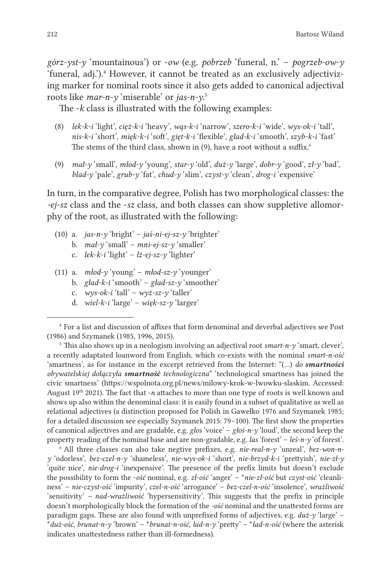*górz-yst-y* 'mountainous') or -*ow* (e.g. *pobrzeb* 'funeral, n.' – *pogrzeb-ow-y* 'funeral, adj.').<sup>4</sup> However, it cannot be treated as an exclusively adjectivizing marker for nominal roots since it also gets added to canonical adjectival roots like *mar-n-y* 'miserable' or *jas-n-y*. 5

The -*k* class is illustrated with the following examples:

- (8) *lek-k-i* 'light', *cięż-k-i* 'heavy', *wąs-k-i* 'narrow', *szero-k-i* 'wide', *wys-ok-i* 'tall', *nis-k-i* 'short', *mięk-k-i* 'soft', *gięt-k-i* 'flexible', *gład-k-i* 'smooth', *szyb-k-i* 'fast' The stems of the third class, shown in (9), have a root without a suffix.<sup>6</sup>
- (9) *mał-y* 'small', *młod-y* 'young', *star-y* 'old', *duż-y* 'large', *dobr-y* 'good', *zł-y* 'bad', *blad-y* 'pale', *grub-y* 'fat', *chud-y* 'slim', *czyst-y* 'clean', *drog-i* 'expensive'

In turn, in the comparative degree, Polish has two morphological classes: the *-ej-sz* class and the -*sz* class, and both classes can show suppletive allomorphy of the root, as illustrated with the following:

- (10) a. *jas-n-y* 'bright' *jaś-ni-ej-sz-y* 'brighter'
	- b. *mał-y* 'small' *mni-ej-sz-y* 'smaller'
	- c. *lek-k-i* 'light' *lż-ej-sz-y* 'lighter'
- (11) a. *młod-y* 'young' *młod-sz-y* 'younger'
	- b. *gład-k-i* 'smooth' *gład-sz-y* 'smoother'
	- c. *wys-ok-i* 'tall' *wyż-sz-y* 'taller'
	- d. *wiel-k-i* 'large' *więk-sz-y* 'larger'

6 All three classes can also take negtive prefixes, e.g. *nie-real-n-y* 'unreal', *bez-won-ny* 'odorless', *bez-czel-n-y* 'shameless', *nie-wys-ok-i* 'short', *nie-brzyd-k-i* 'prettyish', *nie-zł-y* 'quite nice', *nie-drog-i* 'inexpensive'. The presence of the prefix limits but doesn't exclude the possibility to form the -*ość* nominal, e.g. *zł-ość* 'anger' – \**nie-zł-ość* but *czyst-ość* 'cleanliness' – *nie-czyst-ość* 'impurity', *czel-n-ość* 'arrogance' – *bez-czel-n-ość* 'insolence', *wrażliwość* 'sensitivity' *– nad-wrażliwość* 'hypersensitivity'. This suggests that the prefix in principle doesn't morphologically block the formation of the *-ość* nominal and the unattested forms are paradigm gaps. These are also found with unprefixed forms of adjectives, e.g. *duż-y* 'large' – \**duż-ość*, *brunat-n-y* 'brown' – \**brunat-n-ość*, *ład-n-y* 'pretty' – \**ład-n-ość* (where the asterisk indicates unattestedness rather than ill-formedness).

<sup>4</sup> For a list and discussion of affixes that form denominal and deverbal adjectives see Post (1986) and Szymanek (1985, 1996, 2015).

<sup>5</sup> This also shows up in a neologism involving an adjectival root *smart-n-y* 'smart, clever', a recently adaptated loanword from English, which co-exists with the nominal *smart-n-ość*  'smartness', as for instance in the excerpt retrieved from the Internet: "(…) *do smartności obywatelskiej dołączyła smartność technologiczna*" 'technological smartness has joined the civic smartness' (https://wspolnota.org.pl/news/milowy-krok-w-lwowku-slaskim. Accessed: August 19<sup>th</sup> 2021). The fact that -*n* attaches to more than one type of roots is well known and shows up also within the denominal class: it is easily found in a subset of qualitative as well as relational adjectives (a distinction proposed for Polish in Gawełko 1976 and Szymanek 1985; for a detailed discussion see especially Szymanek 2015: 79–100). The first show the properties of canonical adjectives and are gradable, e.g. *głos* 'voice' – *głoś-n-y* 'loud', the second keep the property reading of the nominal base and are non-gradable, e.g. *las* 'forest' – *leś-n-y* 'of forest'.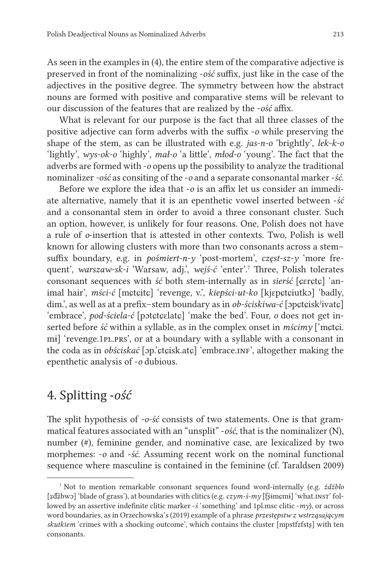As seen in the examples in (4), the entire stem of the comparative adjective is preserved in front of the nominalizing -*ość* suffix, just like in the case of the adjectives in the positive degree. The symmetry between how the abstract nouns are formed with positive and comparative stems will be relevant to our discussion of the features that are realized by the -*ość* affix.

What is relevant for our purpose is the fact that all three classes of the positive adjective can form adverbs with the suffix -*o* while preserving the shape of the stem, as can be illustrated with e.g. *jas-n-o* 'brightly', *lek-k-o* 'lightly', *wys-ok-o* 'highly', *mał-o* 'a little', *młod-o* 'young'. The fact that the adverbs are formed with -*o* opens up the possibility to analyze the traditional nominalizer *-ość* as consiting of the -*o* and a separate consonantal marker -*ść*.

Before we explore the idea that -*o* is an affix let us consider an immediate alternative, namely that it is an epenthetic vowel inserted between -*ść* and a consonantal stem in order to avoid a three consonant cluster. Such an option, however, is unlikely for four reasons. One, Polish does not have a rule of *o*-insertion that is attested in other contexts. Two, Polish is well known for allowing clusters with more than two consonants across a stem– suffix boundary, e.g. in *pośmiert-n-y* 'post-mortem', *częst-sz-y* 'more frequent', *warszaw-sk-i* 'Warsaw, adj.', *wejś-ć* 'enter'.<sup>7</sup> Three, Polish tolerates consonant sequences with *ść* both stem-internally as in *sierść* [ɕɛrɕtɕ] 'animal hair', *mści-ć* [mɕtɕitɕ] 'revenge, v.', *kiepści-ut-ko* [kjɛpɕtɕiutkɔ] 'badly, dim.', as well as at a prefix-stem boundary as in *ob-ściskiwa-ć* [*ppctcisk<sup>j</sup>ivatc*] 'embrace', *pod-ściela-ć* [pɔtɕtɕɛlatɕ] 'make the bed'. Four, *o* does not get inserted before *ść* within a syllable, as in the complex onset in *mścimy* ['mɕtɕi. mi] 'revenge.1pl.prs', or at a boundary with a syllable with a consonant in the coda as in *obściskać* [ɔp.'ctçisk.atç] 'embrace.INF', altogether making the epenthetic analysis of -*o* dubious.

## 4. Splitting -*ość*

The split hypothesis of *-o-ść* consists of two statements. One is that grammatical features associated with an "unsplit" -*ość*, that is the nominalizer (N), number (#), feminine gender, and nominative case, are lexicalized by two morphemes: -*o* and -*ść*. Assuming recent work on the nominal functional sequence where masculine is contained in the feminine (cf. Taraldsen 2009)

<sup>7</sup> Not to mention remarkable consonant sequences found word-internally (e.g. *źdźbło* [ʑd͡ʑbwɔ] 'blade of grass'), at boundaries with clitics(e.g.*czym-ś-my* [ʈ͡ʂɨmɕmɨ] 'what.inst' followed by an assertive indefinite clitic marker -*ś* 'something' and 1pl.msc clitic -*my*), or across word boundaries, as in Orzechowska's (2019) example of a phrase *przestępstw z wstrząsającym skutkiem* 'crimes with a shocking outcome', which contains the cluster [mpstfzfstʂ] with ten consonants.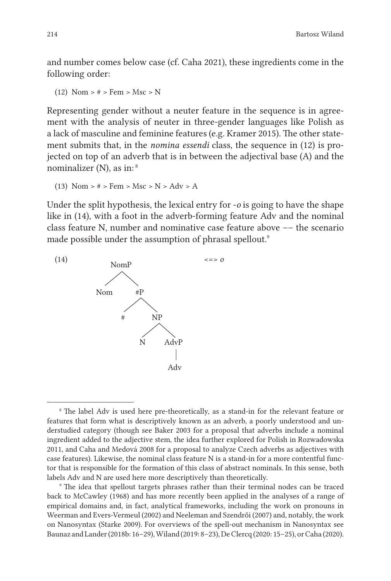and number comes below case (cf. Caha 2021), these ingredients come in the following order:

```
(12) Nom > # > Fem > Msc > N
```
Representing gender without a neuter feature in the sequence is in agreement with the analysis of neuter in three-gender languages like Polish as a lack of masculine and feminine features (e.g. Kramer 2015). The other statement submits that, in the *nomina essendi* class, the sequence in (12) is projected on top of an adverb that is in between the adjectival base (A) and the nominalizer  $(N)$ , as in:<sup>8</sup>

```
(13) Nom > # > Fem > Msc > N > Adv > A
```
Under the split hypothesis, the lexical entry for -*o* is going to have the shape like in (14), with a foot in the adverb-forming feature Adv and the nominal class feature N, number and nominative case feature above –– the scenario made possible under the assumption of phrasal spellout.<sup>9</sup>



<sup>&</sup>lt;sup>8</sup> The label Adv is used here pre-theoretically, as a stand-in for the relevant feature or features that form what is descriptively known as an adverb, a poorly understood and understudied category (though see Baker 2003 for a proposal that adverbs include a nominal ingredient added to the adjective stem, the idea further explored for Polish in Rozwadowska 2011, and Caha and Medová 2008 for a proposal to analyze Czech adverbs as adjectives with case features). Likewise, the nominal class feature N is a stand-in for a more contentful functor that is responsible for the formation of this class of abstract nominals. In this sense, both labels Adv and N are used here more descriptively than theoretically.

9 The idea that spellout targets phrases rather than their terminal nodes can be traced back to McCawley (1968) and has more recently been applied in the analyses of a range of empirical domains and, in fact, analytical frameworks, including the work on pronouns in Weerman and Evers-Vermeul (2002) and Neeleman and Szendrői (2007) and, notably, the work on Nanosyntax (Starke 2009). For overviews of the spell-out mechanism in Nanosyntax see Baunaz and Lander(2018b: 16–29),Wiland (2019: 8–23), DeClercq (2020: 15–25), orCaha (2020).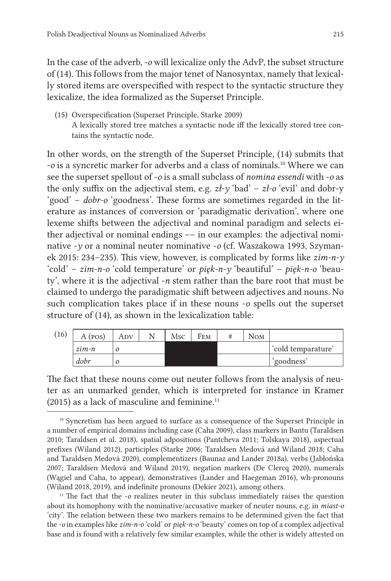In the case of the adverb, -*o* will lexicalize only the AdvP, the subset structure of (14). This follows from the major tenet of Nanosyntax, namely that lexically stored items are overspecified with respect to the syntactic structure they lexicalize, the idea formalized as the Superset Principle.

(15) Overspecification (Superset Principle, Starke 2009) A lexically stored tree matches a syntactic node iff the lexically stored tree contains the syntactic node.

In other words, on the strength of the Superset Principle, (14) submits that -*o* is a syncretic marker for adverbs and a class of nominals.<sup>10</sup> Where we can see the superset spellout of -*o* is a small subclass of *nomina essendi* with -*o* as the only suffix on the adjectival stem, e.g.  $z\ell$ -y 'bad' –  $z\ell$ -o 'evil' and dobr-y 'good' – *dobr-o* 'goodness'. These forms are sometimes regarded in the literature as instances of conversion or 'paradigmatic derivation', where one lexeme shifts between the adjectival and nominal paradigm and selects either adjectival or nominal endings –– in our examples: the adjectival nominative -*y* or a nominal neuter nominative -*o* (cf. Waszakowa 1993, Szymanek 2015: 234–235). This view, however, is complicated by forms like *zim-n-y* 'cold' – *zim-n-o* 'cold temperature' or *pięk-n-y* 'beautiful' – *pięk-n-o* 'beauty', where it is the adjectival -*n* stem rather than the bare root that must be claimed to undergo the paradigmatic shift between adjectives and nouns. No such complication takes place if in these nouns -*o* spells out the superset structure of (14), as shown in the lexicalization table:

| (16) | A (pos)          | Adv | Msc | Fem | N <sub>OM</sub> |                    |
|------|------------------|-----|-----|-----|-----------------|--------------------|
|      | $z$ <i>im</i> -n |     |     |     |                 | 'cold temparature' |
|      | dobr             |     |     |     |                 | `goodness'         |

The fact that these nouns come out neuter follows from the analysis of neuter as an unmarked gender, which is interpreted for instance in Kramer  $(2015)$  as a lack of masculine and feminine.<sup>11</sup>

<sup>11</sup> The fact that the *-o* realizes neuter in this subclass immediately raises the question about its homophony with the nominative/accusative marker of neuter nouns, e.g. in *miast-o* 'city'. The relation between these two markers remains to be determined given the fact that the -*o* in examples like *zim-n-o* 'cold' or *pięk-n-o* 'beauty' comes on top of a complex adjectival base and is found with a relatively few similar examples, while the other is widely attested on

<sup>&</sup>lt;sup>10</sup> Syncretism has been argued to surface as a consequence of the Superset Principle in a number of empirical domains including case (Caha 2009), class markers in Bantu (Taraldsen 2010; Taraldsen et al. 2018), spatial adpositions (Pantcheva 2011; Tolskaya 2018), aspectual prefixes (Wiland 2012), participles (Starke 2006; Taraldsen Medová and Wiland 2018; Caha and Taraldsen Medová 2020), complementizers (Baunaz and Lander 2018a), verbs (Jabłońska 2007; Taraldsen Medová and Wiland 2019), negation markers (De Clercq 2020), numerals (Wągiel and Caha, to appear), demonstratives (Lander and Haegeman 2016), wh-pronouns (Wiland 2018, 2019), and indefinite pronouns (Dekier 2021), among others.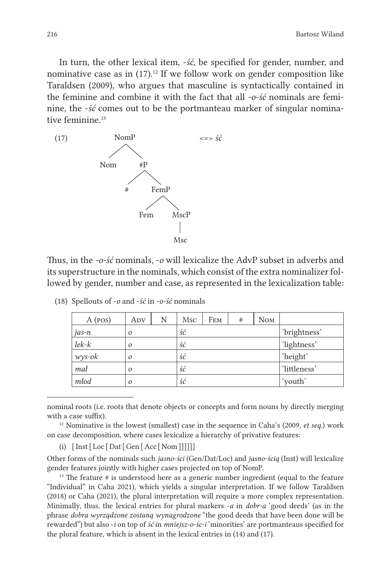In turn, the other lexical item, -*ść,* be specified for gender, number, and nominative case as in  $(17).$ <sup>12</sup> If we follow work on gender composition like Taraldsen (2009), who argues that masculine is syntactically contained in the feminine and combine it with the fact that all *-o-ść* nominals are feminine, the -*ść* comes out to be the portmanteau marker of singular nominative feminine.<sup>13</sup>



Thus, in the *-o-ść* nominals, -*o* will lexicalize the AdvP subset in adverbs and its superstructure in the nominals, which consist of the extra nominalizer followed by gender, number and case, as represented in the lexicalization table:

| A (pos)         | Adv      | N | Msc | FEM | #            | N <sub>OM</sub> |              |
|-----------------|----------|---|-----|-----|--------------|-----------------|--------------|
| jas-n           | $\Omega$ |   | ść  |     |              |                 | 'brightness' |
| $l$ e $k$ - $k$ | $\Omega$ |   | ść  |     |              |                 | 'lightness'  |
| $wys-ok$        | $\Omega$ |   | ść  |     |              |                 | 'height'     |
| mał<br>$\Omega$ |          |   | ść  |     | 'littleness' |                 |              |
| młod            | $\Omega$ |   | ść  |     |              |                 | 'youth'      |

(18) Spellouts of -*o* and -*ść* in -*o-ść* nominals

nominal roots (i.e. roots that denote objects or concepts and form nouns by directly merging with a case suffix).

 $12$ <sup>12</sup> Nominative is the lowest (smallest) case in the sequence in Caha's (2009, *et seq.*) work on case decomposition, where cases lexicalize a hierarchy of privative features:

(i)  $[Inst[Loc[Det[Gen[Acc[Norm]]]]]]]$ 

Other forms of the nominals such *jasno-ści* (Gen/Dat/Loc) and *jasno-ścią* (Inst) will lexicalize gender features jointly with higher cases projected on top of NomP.

<sup>13</sup> The feature # is understood here as a generic number ingredient (equal to the feature "Individual" in Caha 2021), which yields a singular interpretation. If we follow Taraldsen (2018) or Caha (2021), the plural interpretation will require a more complex representation. Minimally, thus, the lexical entries for plural markers -*a* in *dobr-a* 'good deeds' (as in the phrase *dobra wyrządzone zostaną wynagrodzone* "the good deeds that have been done will be rewarded") but also -*i* on top of *ść* in *mniejsz-o-śc-i* 'minorities' are portmanteaus specified for the plural feature, which is absent in the lexical entries in (14) and (17).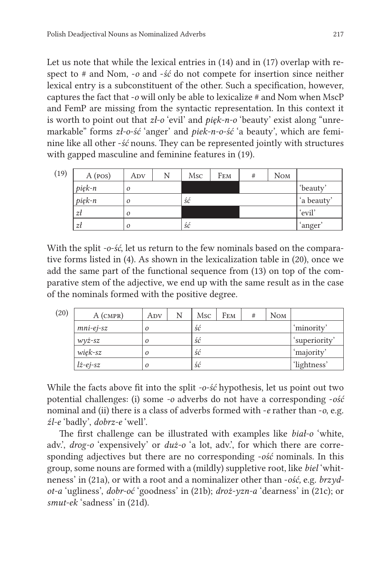Let us note that while the lexical entries in (14) and in (17) overlap with respect to # and Nom, -*o* and -*ść* do not compete for insertion since neither lexical entry is a subconstituent of the other. Such a specification, however, captures the fact that -*o* will only be able to lexicalize # and Nom when MscP and FemP are missing from the syntactic representation. In this context it is worth to point out that *zł-o* 'evil' and *pięk-n-o* 'beauty' exist along "unremarkable" forms *zł-o-ść* 'anger' and *piek-n-o-ść* 'a beauty', which are feminine like all other -*ść* nouns. They can be represented jointly with structures with gapped masculine and feminine features in (19).

| (19) | A (pos) | Adv      | N | Msc | FEM | # | N <sub>OM</sub> |            |
|------|---------|----------|---|-----|-----|---|-----------------|------------|
|      | pięk-n  | $\Omega$ |   |     |     |   |                 | 'beauty'   |
|      | pięk-n  | $\Omega$ |   | ść  |     |   |                 | 'a beauty' |
|      | zł      | 0        |   |     |     |   |                 | 'evil'     |
|      | zt      | $\Omega$ |   | ść  |     |   |                 | ʻanger     |

With the split *-o-ść*, let us return to the few nominals based on the comparative forms listed in (4). As shown in the lexicalization table in (20), once we add the same part of the functional sequence from (13) on top of the comparative stem of the adjective, we end up with the same result as in the case of the nominals formed with the positive degree.

| (20) | $A$ (CMPR)        | ADV      | N | Msc | FEM | # | N <sub>OM</sub> |               |
|------|-------------------|----------|---|-----|-----|---|-----------------|---------------|
|      | $mni-ej-sz$       | 0        |   | ść  |     |   |                 | 'minority'    |
|      | $wv\dot{z}$ -sz   | $\Omega$ |   | ść  |     |   |                 | 'superiority' |
|      | $wijk-sz$         | $\Omega$ |   | ść  |     |   |                 | 'majority'    |
|      | $l\dot{z}$ -ej-sz | $\Omega$ |   | ść  |     |   |                 | 'lightness'   |

While the facts above fit into the split *-o-ść* hypothesis, let us point out two potential challenges: (i) some *-o* adverbs do not have a corresponding -*ość* nominal and (ii) there is a class of adverbs formed with -*e* rather than -*o*, e.g. *źl-e* 'badly', *dobrz-e* 'well'.

The first challenge can be illustrated with examples like *biał-o* 'white, adv.', *drog-o* 'expensively' or *duż-o* 'a lot, adv.', for which there are corresponding adjectives but there are no corresponding -*ość* nominals. In this group, some nouns are formed with a (mildly) suppletive root, like *biel* 'whitneness' in (21a), or with a root and a nominalizer other than -*ość,* e.g. *brzydot-a* 'ugliness', *dobr-oć* 'goodness' in (21b); *droż-yzn-a* 'dearness' in (21c); or *smut-ek* 'sadness' in (21d).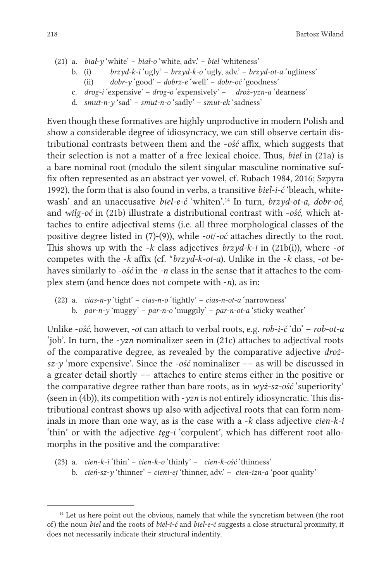218 Bartosz Wiland

- (21) a. *biał-y* 'white' *biał-o* 'white, adv.' *biel* 'whiteness'
	- b. (i) *brzyd-k-i* 'ugly' *brzyd-k-o* 'ugly, adv.' *brzyd-ot-a* 'ugliness'
	- (ii) *dobr-y* 'good' *dobrz-e* 'well' *dobr-oć* 'goodness'
	- c. *drog-i* 'expensive' *drog-o* 'expensively' – *droż-yzn-a* 'dearness'
	- d. *smut-n-y* 'sad' *smut-n-o* 'sadly' *smut-ek* 'sadness'

Even though these formatives are highly unproductive in modern Polish and show a considerable degree of idiosyncracy, we can still observe certain distributional contrasts between them and the -*ość* affix, which suggests that their selection is not a matter of a free lexical choice. Thus, *biel* in (21a) is a bare nominal root (modulo the silent singular masculine nominative suffix often represented as an abstract yer vowel, cf. Rubach 1984, 2016; Szpyra 1992), the form that is also found in verbs, a transitive *biel-i-ć* 'bleach, whitewash' and an unaccusative *biel-e-ć* 'whiten'.14 In turn, *brzyd-ot-a*, *dobr-oć,* and *wilg-oć* in (21b) illustrate a distributional contrast with -*ość*, which attaches to entire adjectival stems (i.e. all three morphological classes of the positive degree listed in (7)-(9)), while -*ot*/*-oć* attaches directly to the root. This shows up with the -*k* class adjectives *brzyd-k-i* in (21b(i)), where -*ot* competes with the -*k* affix (cf. \**brzyd-k-ot-a*). Unlike in the -*k* class, -*ot* behaves similarly to -*ość* in the *-n* class in the sense that it attaches to the complex stem (and hence does not compete with -*n*), as in:

(22) a. *cias-n-y* 'tight' – *cias-n-o* 'tightly' – *cias-n-ot-a* 'narrowness' b. *par-n-y* 'muggy' – *par-n-o* 'muggily' – *par-n-ot-a* 'sticky weather'

Unlike -*ość*, however, *-ot* can attach to verbal roots, e.g. *rob-i-ć* 'do' – *rob-ot-a* 'job'. In turn, the -*yzn* nominalizer seen in (21c) attaches to adjectival roots of the comparative degree, as revealed by the comparative adjective *droższ-y* 'more expensive'. Since the -*ość* nominalizer –– as will be discussed in a greater detail shortly –– attaches to entire stems either in the positive or the comparative degree rather than bare roots, as in *wyż-sz-ość* 'superiority' (seen in (4b)), its competition with -*yzn* is not entirely idiosyncratic. This distributional contrast shows up also with adjectival roots that can form nominals in more than one way, as is the case with a -*k* class adjective *cien-k-i* 'thin' or with the adjective *tęg-i* 'corpulent', which has different root allomorphs in the positive and the comparative:

(23) a. *cien-k-i* 'thin' – *cien-k-o* 'thinly' – *cien-k-ość* 'thinness' b. *cień-sz-y* 'thinner' – *cieni-ej* 'thinner, adv.' – *cien-izn-a* 'poor quality'

<sup>&</sup>lt;sup>14</sup> Let us here point out the obvious, namely that while the syncretism between (the root of) the noun *biel* and the roots of *biel-i-ć* and *biel-e-ć* suggests a close structural proximity, it does not necessarily indicate their structural indentity.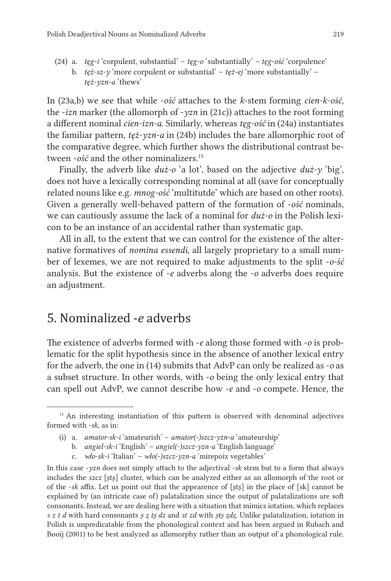- (24) a. *tęg-i* 'corpulent, substantial' *tęg-o* 'substantially'  *tęg-ość* 'corpulence'
	- b. *tęż-sz-y* 'more corpulent or substantial' *tęż-ej* 'more substantially' *tęż-yzn-a* 'thews'

In (23a,b) we see that while -*ość* attaches to the *k*-stem forming *cien-k-ość*, the -*izn* marker (the allomorph of -*yzn* in (21c)) attaches to the root forming a different nominal *cien-izn-a*. Similarly, whereas *tęg-ość* in (24a) instantiates the familiar pattern, *tęż-yzn-a* in (24b) includes the bare allomorphic root of the comparative degree, which further shows the distributional contrast between *-ość* and the other nominalizers.<sup>15</sup>

Finally, the adverb like *duż-o* 'a lot', based on the adjective *duż-y* 'big', does not have a lexically corresponding nominal at all (save for conceptually related nouns like e.g. *mnog-ość* 'multitutde' which are based on other roots). Given a generally well-behaved pattern of the formation of -*ość* nominals, we can cautiously assume the lack of a nominal for *duż-o* in the Polish lexicon to be an instance of an accidental rather than systematic gap.

All in all, to the extent that we can control for the existence of the alternative formatives of *nomina essendi*, all largely proprietary to a small number of lexemes, we are not required to make adjustments to the split -*o-ść* analysis. But the existence of -*e* adverbs along the -*o* adverbs does require an adjustment.

### 5. Nominalized -*e* adverbs

The existence of adverbs formed with -*e* along those formed with -*o* is problematic for the split hypothesis since in the absence of another lexical entry for the adverb, the one in (14) submits that AdvP can only be realized as -*o* as a subset structure. In other words, with -*o* being the only lexical entry that can spell out AdvP, we cannot describe how -*e* and -*o* compete. Hence, the

<sup>&</sup>lt;sup>15</sup> An interesting instantiation of this pattern is observed with denominal adjectives formed with -*sk*, as in:

<sup>(</sup>i) a. *amator-sk-i* 'amateurish' – *amator(-)szcz-yzn-a* 'amateurship'

b. *angiel-sk-i* 'English' – *angiel(-)szcz-yzn-a* 'English language'

c. *wło-sk-i* 'Italian' – *wło(-)szcz-yzn-a* 'mirepoix vegetables'

In this case -*yzn* does not simply attach to the adjectival -*sk* stem but to a form that always includes the *szcz* [ʂtʂ] cluster, which can be analyzed either as an allomorph of the root or of the -*sk* affix. Let us point out that the appearence of [ʂtʂ] in the place of [sk] cannot be explained by (an intricate case of) palatalization since the output of palatalizations are soft consonants. Instead, we are dealing here with a situation that mimics iotation, which replaces *s z t d* with hard consonants *ʂ ʐ tʂ dz* and *st zd* with *ʂtʂ ʐdʐ*. Unlike palatalization, iotation in Polish is unpredicatable from the phonological context and has been argued in Rubach and Booij (2001) to be best analyzed as allomorphy rather than an output of a phonological rule.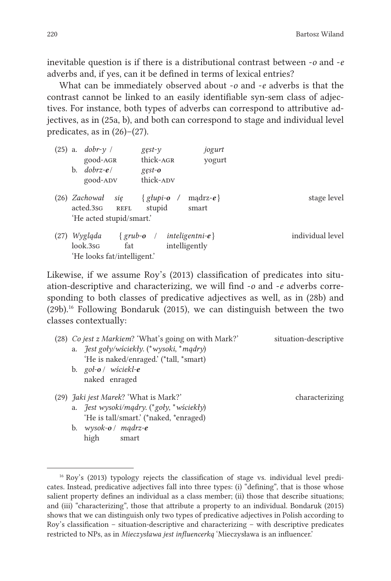inevitable question is if there is a distributional contrast between -*o* and -*e* adverbs and, if yes, can it be defined in terms of lexical entries?

What can be immediately observed about -*o* and -*e* adverbs is that the contrast cannot be linked to an easily identifiable syn-sem class of adjectives. For instance, both types of adverbs can correspond to attributive adjectives, as in (25a, b), and both can correspond to stage and individual level predicates, as in  $(26)$ – $(27)$ .

| $(25)$ a. | $dobr-\gamma$ /<br>good-AGR<br>$dobrz-e/$<br>b.<br>good-ADV                          | jogurt<br>$g$ est- $v$<br>thick-AGR<br>yogurt<br>$gest-o$<br>thick-ADV |                  |
|-----------|--------------------------------------------------------------------------------------|------------------------------------------------------------------------|------------------|
|           | $(26)$ Zachował<br>sie<br>acted.3sG<br><b>REFL</b><br>'He acted stupid/smart.'       | madrz- $e$ }<br>$\{$ glupi-o /<br>stupid<br>smart                      | stage level      |
| (27)      | Wygląda<br>$\{$ grub- $\mathbf{o}$<br>look.3sG<br>fat<br>'He looks fat/intelligent.' | inteligentni- $e$<br>intelligently                                     | individual level |

Likewise, if we assume Roy's (2013) classification of predicates into situation-descriptive and characterizing, we will find -*o* and -*e* adverbs corresponding to both classes of predicative adjectives as well, as in (28b) and (29b).<sup>16</sup> Following Bondaruk (2015), we can distinguish between the two classes contextually:

| (28) Co jest z Markiem? 'What's going on with Mark?'                                                                                       | situation-descriptive |
|--------------------------------------------------------------------------------------------------------------------------------------------|-----------------------|
| a. $\text{Test}$ goły/wściekły. (* wysoki, * mądry)<br>'He is naked/enraged.' (*tall, *smart)                                              |                       |
| b. goł-o / wściekl- $e$<br>naked enraged                                                                                                   |                       |
| (29) <i>Jaki jest Marek</i> ? 'What is Mark?'<br>a. <i>Jest wysoki/mądry.</i> (*goły, *wściekły)<br>'He is tall/smart.' (*naked, *enraged) | characterizing        |

b. *wysok-o* / *mądrz-e* high smart

<sup>&</sup>lt;sup>16</sup> Roy's (2013) typology rejects the classification of stage vs. individual level predicates. Instead, predicative adjectives fall into three types: (i) "defining", that is those whose salient property defines an individual as a class member; (ii) those that describe situations; and (iii) "characterizing", those that attribute a property to an individual. Bondaruk (2015) shows that we can distinguish only two types of predicative adjectives in Polish according to Roy's classification – situation-descriptive and characterizing – with descriptive predicates restricted to NPs, as in *Mieczysława jest influencerką* 'Mieczysława is an influencer.'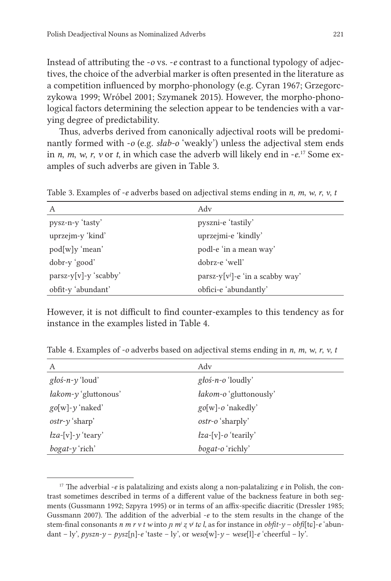Instead of attributing the -*o* vs. -*e* contrast to a functional typology of adjectives, the choice of the adverbial marker is often presented in the literature as a competition influenced by morpho-phonology (e.g. Cyran 1967; Grzegorczykowa 1999; Wróbel 2001; Szymanek 2015). However, the morpho-phonological factors determining the selection appear to be tendencies with a varying degree of predictability.

Thus, adverbs derived from canonically adjectival roots will be predominantly formed with -*o* (e.g. *słab-o* 'weakly') unless the adjectival stem ends in *n*, *m*, *w*, *r*, *v* or *t*, in which case the adverb will likely end in -*e*. <sup>17</sup> Some examples of such adverbs are given in Table 3.

Table 3. Examples of -*e* adverbs based on adjectival stems ending in *n*, *m*, *w*, *r*, *v*, *t*

| А                     | Adv                                        |
|-----------------------|--------------------------------------------|
| pysz-n-y 'tasty'      | pyszni-e 'tastily'                         |
| uprzejm-y 'kind'      | uprzejmi-e 'kindly'                        |
| pod[w]y 'mean'        | podl-e 'in a mean way'                     |
| dobr-y 'good'         | dobrz-e 'well'                             |
| parsz-y[v]-y 'scabby' | $\text{parsz-y}[v^j]$ -e 'in a scabby way' |
| obfit-y 'abundant'    | obfici-e 'abundantly'                      |

However, it is not difficult to find counter-examples to this tendency as for instance in the examples listed in Table 4.

Table 4. Examples of -*o* adverbs based on adjectival stems ending in *n*, *m*, *w*, *r*, *v*, *t*

| A                                 | Adv                                                |
|-----------------------------------|----------------------------------------------------|
| głoś-n- $\nu$ 'loud'              | $g \, \text{to} \, \text{to} \, \text{d}$ and $g'$ |
| łakom-y 'gluttonous'              | <i>łakom-o</i> 'gluttonously'                      |
| $\text{go}[w]$ - $\gamma$ 'naked' | go[w]-o 'nakedly'                                  |
| $ostr-\gamma$ 'sharp'             | ostr-o 'sharply'                                   |
| $\ell z a$ -[v]- $\gamma$ 'teary' | $\ell z a$ -[v]-o 'tearily'                        |
| $b$ ogat- $\gamma$ 'rich'         | bogat-o'richly'                                    |

<sup>17</sup> The adverbial -*e* is palatalizing and exists along a non-palatalizing *e* in Polish, the contrast sometimes described in terms of a different value of the backness feature in both segments (Gussmann 1992; Szpyra 1995) or in terms of an affix-specific diacritic (Dressler 1985; Gussmann 2007). The addition of the adverbial -*e* to the stem results in the change of the stem-final consonants *n m r v t w* into *p m<sup><i>i*</sup>  $z$   $\nu$ <sup>*i*</sup>  $t\epsilon$  *l*, as for instance in *obfit-y – obfi*[t $\epsilon$ ]-*e* 'abundant – ly',  $pyszn-y - pysz[n] - e$ 'taste – ly', or  $weso[w] - y - wese[1] - e$ 'cheerful – ly'.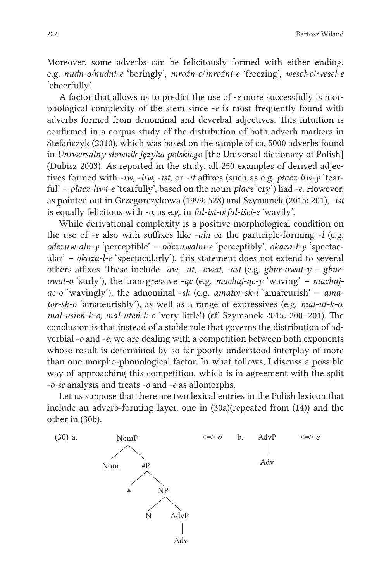Moreover, some adverbs can be felicitously formed with either ending, e.g. *nudn-o/nudni-e* 'boringly', *mroźn-o*/*mroźni-e* 'freezing', *wesoł*-*o*/*wesel-e* 'cheerfully'.

A factor that allows us to predict the use of -*e* more successfully is morphological complexity of the stem since -*e* is most frequently found with adverbs formed from denominal and deverbal adjectives. This intuition is confirmed in a corpus study of the distribution of both adverb markers in Stefańczyk (2010), which was based on the sample of ca. 5000 adverbs found in *Uniwersalny słownik języka polskiego* [the Universal dictionary of Polish] (Dubisz 2003). As reported in the study, all 250 examples of derived adjectives formed with -*iw*, -*liw*, -*ist*, or -*it* affixes (such as e.g. *płacz-liw-y* 'tearful' – *płacz-liwi-e* 'tearfully', based on the noun *płacz* 'cry') had -*e*. However, as pointed out in Grzegorczykowa (1999: 528) and Szymanek (2015: 201), -*ist* is equally felicitous with -*o*, as e.g. in *fal-ist-o*/*fal-iści-e* 'wavily'.

While derivational complexity is a positive morphological condition on the use of -*e* also with suffixes like -*aln* or the participle-forming -*ł* (e.g. *odczuw-aln-y* 'perceptible' – *odczuwalni-e* 'perceptibly', *okaza-ł-y* 'spectacular' – *okaza-l-e* 'spectacularly'), this statement does not extend to several others affixes. These include -*aw*, -*at*, -*owat*, *-ast* (e.g. *gbur-owat-y – gburowat-o* 'surly'), the transgressive -*ąc* (e.g. *machaj-ąc-y* 'waving' *– machając-o* 'wavingly'), the adnominal -*sk* (e.g. *amator-sk-i* 'amateurish' – *amator-sk-o* 'amateurishly'), as well as a range of expressives (e.g. *mal-ut-k-o, mal-usień-k-o, mal-uteń-k-o* 'very little') (cf. Szymanek 2015: 200–201). The conclusion is that instead of a stable rule that governs the distribution of adverbial -*o* and -*e*, we are dealing with a competition between both exponents whose result is determined by so far poorly understood interplay of more than one morpho-phonological factor. In what follows, I discuss a possible way of approaching this competition, which is in agreement with the split -*o-ść* analysis and treats -*o* and -*e* as allomorphs.

Let us suppose that there are two lexical entries in the Polish lexicon that include an adverb-forming layer, one in (30a)(repeated from (14)) and the other in (30b).

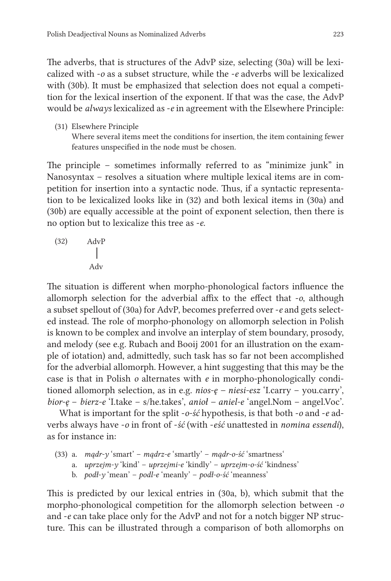The adverbs, that is structures of the AdvP size, selecting (30a) will be lexicalized with -*o* as a subset structure, while the -*e* adverbs will be lexicalized with (30b). It must be emphasized that selection does not equal a competition for the lexical insertion of the exponent. If that was the case, the AdvP would be *always* lexicalized as -*e* in agreement with the Elsewhere Principle:

(31) Elsewhere Principle Where several items meet the conditions for insertion, the item containing fewer features unspecified in the node must be chosen.

The principle – sometimes informally referred to as "minimize junk" in Nanosyntax – resolves a situation where multiple lexical items are in competition for insertion into a syntactic node. Thus, if a syntactic representation to be lexicalized looks like in (32) and both lexical items in (30a) and (30b) are equally accessible at the point of exponent selection, then there is no option but to lexicalize this tree as -*e*.

(32) AdvP Adv

The situation is different when morpho-phonological factors influence the allomorph selection for the adverbial affix to the effect that -*o*, although a subset spellout of (30a) for AdvP, becomes preferred over -*e* and gets selected instead. The role of morpho-phonology on allomorph selection in Polish is known to be complex and involve an interplay of stem boundary, prosody, and melody (see e.g. Rubach and Booij 2001 for an illustration on the example of iotation) and, admittedly, such task has so far not been accomplished for the adverbial allomorph. However, a hint suggesting that this may be the case is that in Polish *o* alternates with *e* in morpho-phonologically conditioned allomorph selection, as in e.g. *nios-ę – niesi-esz* 'I.carry – you.carry', *bior-ę* – *bierz-e* 'I.take – s/he.takes', *anioł – aniel-e* 'angel.Nom – angel.Voc'.

What is important for the split -*o-ść* hypothesis, is that both -*o* and -*e* adverbs always have -*o* in front of -*ść* (with -*eść* unattested in *nomina essendi*), as for instance in:

- (33) a. *mądr-y* 'smart' *mądrz-e* 'smartly' *mądr-o-ść* 'smartness'
	- a. *uprzejm-y* 'kind' *uprzejmi-e* 'kindly' *uprzejm-o-ść* 'kindness'
	- b. *podł-y* 'mean' *podl-e* 'meanly' *podł-o-ść* 'meanness'

This is predicted by our lexical entries in (30a, b), which submit that the morpho-phonological competition for the allomorph selection between -*o* and -*e* can take place only for the AdvP and not for a notch bigger NP structure. This can be illustrated through a comparison of both allomorphs on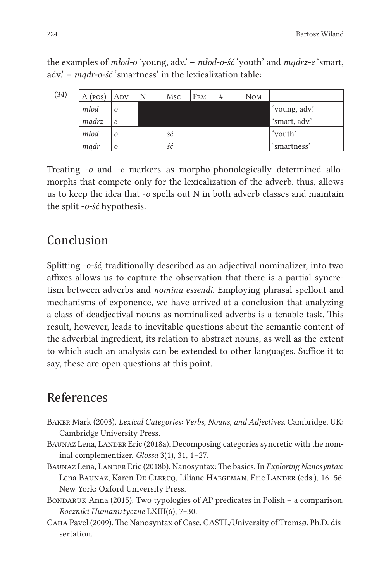the examples of *młod-o* 'young, adv.' – *młod-o-ść* 'youth' and *mądrz-e* 'smart, adv.' – *mądr-o-ść* 'smartness' in the lexicalization table:

| (34) | A (pos) | ADV        | <b>Msc</b> | FEM | # | <b>NOM</b> |               |
|------|---------|------------|------------|-----|---|------------|---------------|
|      | młod    | $\Omega$   |            |     |   |            | 'young, adv.' |
|      | mądrz   | $\epsilon$ |            |     |   |            | 'smart, adv.' |
|      | młod    | $\Omega$   | ść         |     |   |            | 'youth'       |
|      | mądr    |            | ść         |     |   |            | `smartness'   |

Treating -*o* and -*e* markers as morpho-phonologically determined allomorphs that compete only for the lexicalization of the adverb, thus, allows us to keep the idea that -*o* spells out N in both adverb classes and maintain the split -*o-ść* hypothesis.

## Conclusion

Splitting -*o-ść*, traditionally described as an adjectival nominalizer, into two affixes allows us to capture the observation that there is a partial syncretism between adverbs and *nomina essendi*. Employing phrasal spellout and mechanisms of exponence, we have arrived at a conclusion that analyzing a class of deadjectival nouns as nominalized adverbs is a tenable task. This result, however, leads to inevitable questions about the semantic content of the adverbial ingredient, its relation to abstract nouns, as well as the extent to which such an analysis can be extended to other languages. Suffice it to say, these are open questions at this point.

## References

- Baker Mark (2003). *Lexical Categories: Verbs, Nouns, and Adjectives*. Cambridge, UK: Cambridge University Press.
- BAUNAZ Lena, LANDER Eric (2018a). Decomposing categories syncretic with the nominal complementizer. *Glossa* 3(1), 31, 1–27.
- Baunaz Lena, Lander Eric (2018b). Nanosyntax: The basics. In *Exploring Nanosyntax*, Lena Baunaz, Karen De Clercq, Liliane Haegeman, Eric Lander (eds.), 16–56. New York: Oxford University Press.
- BONDARUK Anna (2015). Two typologies of AP predicates in Polish a comparison. *Roczniki Humanistyczne* LXIII(6), 7‒30.
- Caha Pavel (2009). The Nanosyntax of Case. CASTL/University of Tromsø. Ph.D. dissertation.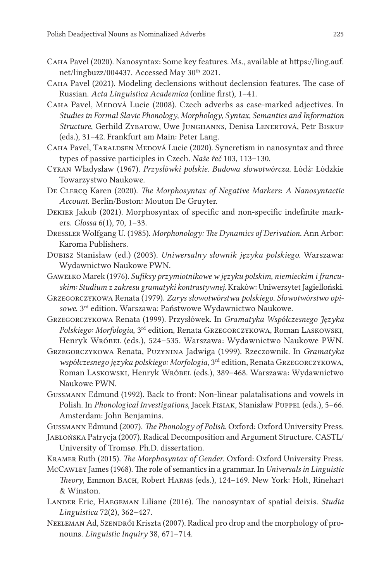- Caha Pavel (2020). Nanosyntax: Some key features. Ms., available at https://ling.auf. net/lingbuzz/004437. Accessed May 30<sup>th</sup> 2021.
- Caha Pavel (2021). Modeling declensions without declension features. The case of Russian. *Acta Linguistica Academica* (online first), 1–41.
- CAHA Pavel, MEDOVÁ Lucie (2008). Czech adverbs as case-marked adjectives. In *Studies in Formal Slavic Phonology, Morphology, Syntax, Semantics and Information Structure*, Gerhild Zybatow, Uwe Junghanns, Denisa Lenertová, Petr Biskup (eds.), 31–42. Frankfurt am Main: Peter Lang.
- CAHA Pavel, TARALDSEN MEDOVÁ Lucie (2020). Syncretism in nanosyntax and three types of passive participles in Czech. *Naše řeč* 103, 113–130.
- Cyran Władysław (1967). *Przysłówki polskie. Budowa słowotwórcza.* Łódź: Łódzkie Towarzystwo Naukowe.
- De Clercq Karen (2020). *The Morphosyntax of Negative Markers*: *A Nanosyntactic Account*. Berlin/Boston: Mouton De Gruyter.
- Dekier Jakub (2021). Morphosyntax of specific and non-specific indefinite markers. *Glossa* 6(1), 70, 1–33.
- Dressler Wolfgang U. (1985). *Morphonology: The Dynamics of Derivation*. Ann Arbor: Karoma Publishers.
- Dubisz Stanisław (ed.) (2003). *Uniwersalny słownik języka polskiego*. Warszawa: Wydawnictwo Naukowe PWN.
- GAWEŁKO Marek (1976). Sufiksy przymiotnikowe w języku polskim, niemieckim i francu*skim: Studium z zakresu gramatyki kontrastywnej*. Kraków: Uniwersytet Jagielloński.
- Grzegorczykowa Renata (1979). *Zarys słowotwórstwa polskiego. Słowotwórstwo opisowe*. 3rd edition. Warszawa: Państwowe Wydawnictwo Naukowe.
- Grzegorczykowa Renata (1999). Przysłówek. In *Gramatyka Współczesnego Języka Polskiego: Morfologia*, 3rd edition, Renata Grzegorczykowa, Roman Laskowski, Henryk Wróbel (eds.), 524-535. Warszawa: Wydawnictwo Naukowe PWN.
- Grzegorczykowa Renata, Puzynina Jadwiga (1999). Rzeczownik. In *Gramatyka współczesnego języka polskiego: Morfologia*, 3rd edition, Renata Grzegorczykowa, Roman LASKOWSKI, Henryk Wróbel (eds.), 389-468. Warszawa: Wydawnictwo Naukowe PWN.
- Gussmann Edmund (1992). Back to front: Non-linear palatalisations and vowels in Polish. In *Phonological Investigations*, Jacek Fisiak, Stanisław Puppel (eds.), 5-66. Amsterdam: John Benjamins.
- Gussmann Edmund (2007). *The Phonology of Polish*. Oxford: Oxford University Press.
- Jabłońska Patrycja (2007). Radical Decomposition and Argument Structure. CASTL/ University of Tromsø. Ph.D. dissertation.
- Kramer Ruth (2015). *The Morphosyntax of Gender*. Oxford: Oxford University Press.
- McCawley James(1968). The role ofsemanticsin a grammar. In *Universals in Linguistic Theory*, Emmon Bach, Robert Harms (eds.), 124–169. New York: Holt, Rinehart & Winston.
- Lander Eric, Haegeman Liliane (2016). The nanosyntax of spatial deixis. *Studia Linguistica* 72(2), 362–427.
- NEELEMAN Ad, SZENDRŐI Kriszta (2007). Radical pro drop and the morphology of pronouns. *Linguistic Inquiry* 38, 671–714.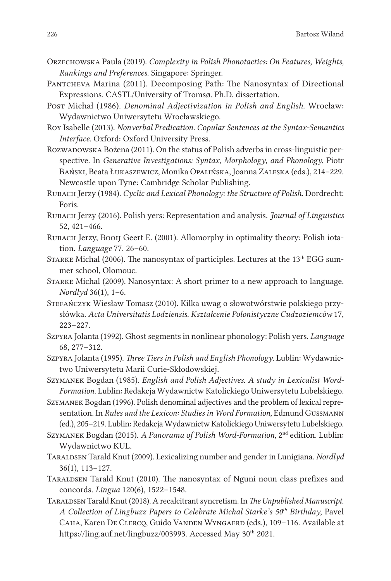- Orzechowska Paula (2019). *Complexity in Polish Phonotactics: On Features, Weights, Rankings and Preferences.* Singapore: Springer.
- PANTCHEVA Marina (2011). Decomposing Path: The Nanosyntax of Directional Expressions. CASTL/University of Tromsø. Ph.D. dissertation.
- Post Michał (1986). *Denominal Adjectivization in Polish and English.* Wrocław: Wydawnictwo Uniwersytetu Wrocławskiego.
- Roy Isabelle (2013). *Nonverbal Predication. Copular Sentences at the Syntax-Semantics Interface*. Oxford: Oxford University Press.
- ROZWADOWSKA Bożena (2011). On the status of Polish adverbs in cross-linguistic perspective. In *Generative Investigations: Syntax, Morphology, and Phonology*, Piotr Bański, Beata Łukaszewicz, Monika Opalińska, Joanna Zaleska (eds.), 214–229. Newcastle upon Tyne: Cambridge Scholar Publishing.
- Rubach Jerzy (1984). *Cyclic and Lexical Phonology: the Structure of Polish*. Dordrecht: Foris.
- Rubach Jerzy (2016). Polish yers: Representation and analysis. *Journal of Linguistics* 52, 421–466.
- Rubach Jerzy, Booij Geert E. (2001). Allomorphy in optimality theory: Polish iotation. *Language* 77, 26–60.
- STARKE Michal (2006). The nanosyntax of participles. Lectures at the 13<sup>th</sup> EGG summer school, Olomouc.
- Starke Michal (2009). Nanosyntax: A short primer to a new approach to language. *Nordlyd* 36(1), 1–6.
- Stefańczyk Wiesław Tomasz (2010). Kilka uwag o słowotwórstwie polskiego przysłówka. *Acta Universitatis Lodziensis. Kształcenie Polonistyczne Cudzoziemców* 17, 223–227.
- Szpyra Jolanta (1992). Ghost segments in nonlinear phonology: Polish yers. *Language* 68, 277–312.
- Szpyra Jolanta (1995). *Three Tiers in Polish and English Phonology*. Lublin: Wydawnictwo Uniwersytetu Marii Curie-Skłodowskiej.
- Szymanek Bogdan (1985). *English and Polish Adjectives. A study in Lexicalist Word-Formation.* Lublin: Redakcja Wydawnictw Katolickiego Uniwersytetu Lubelskiego.
- SZYMANEK Bogdan (1996). Polish denominal adjectives and the problem of lexical representation. In *Rules and the Lexicon: Studies in Word Formation*, Edmund Gussmann (ed.), 205–219. Lublin: Redakcja Wydawnictw Katolickiego Uniwersytetu Lubelskiego.
- Szymanek Bogdan (2015). *A Panorama of Polish Word-Formation*, 2nd edition. Lublin: Wydawnictwo KUL.
- Taraldsen Tarald Knut (2009). Lexicalizing number and gender in Lunigiana. *Nordlyd* 36(1), 113–127.
- Taraldsen Tarald Knut (2010). The nanosyntax of Nguni noun class prefixes and concords. *Lingua* 120(6), 1522–1548.
- Taraldsen Tarald Knut (2018). A recalcitrantsyncretism. In *The Unpublished Manuscript. A Collection of Lingbuzz Papers to Celebrate Michal Starke's 50th Birthday*, Pavel Caha, Karen De Clercq, Guido Vanden Wyngaerd (eds.), 109–116. Available at https://ling.auf.net/lingbuzz/003993. Accessed May 30<sup>th</sup> 2021.